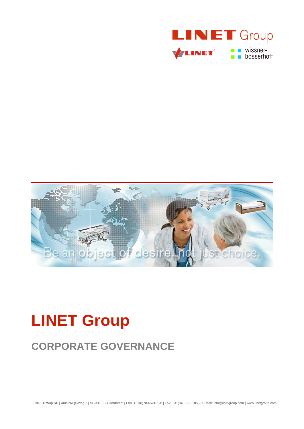



# **LINET Group**

## **CORPORATE GOVERNANCE**

**LINET Group SE** | Amstelwijckweg 2 | NL-3316 BB Dordrecht | Fon: +31(0)78-652185-0 | Fax: +31(0)78-6521855 | E-Mail: info@linetgroup.com | www.linetgroup.com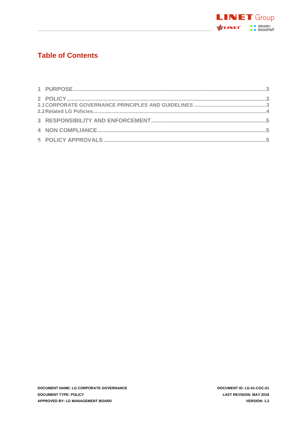

## **Table of Contents**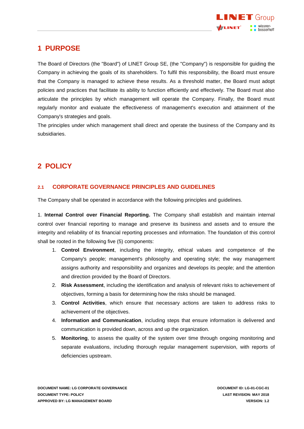

#### <span id="page-2-0"></span>**1 PURPOSE**

The Board of Directors (the "Board") of LINET Group SE, (the "Company") is responsible for guiding the Company in achieving the goals of its shareholders. To fulfil this responsibility, the Board must ensure that the Company is managed to achieve these results. As a threshold matter, the Board must adopt policies and practices that facilitate its ability to function efficiently and effectively. The Board must also articulate the principles by which management will operate the Company. Finally, the Board must regularly monitor and evaluate the effectiveness of management's execution and attainment of the Company's strategies and goals.

<span id="page-2-1"></span>The principles under which management shall direct and operate the business of the Company and its subsidiaries.

## **2 POLICY**

#### <span id="page-2-2"></span>**2.1 CORPORATE GOVERNANCE PRINCIPLES AND GUIDELINES**

The Company shall be operated in accordance with the following principles and guidelines.

1. **Internal Control over Financial Reporting.** The Company shall establish and maintain internal control over financial reporting to manage and preserve its business and assets and to ensure the integrity and reliability of its financial reporting processes and information. The foundation of this control shall be rooted in the following five (5) components:

- 1. **Control Environment**, including the integrity, ethical values and competence of the Company's people; management's philosophy and operating style; the way management assigns authority and responsibility and organizes and develops its people; and the attention and direction provided by the Board of Directors.
- 2. **Risk Assessment**, including the identification and analysis of relevant risks to achievement of objectives, forming a basis for determining how the risks should be managed.
- 3. **Control Activities**, which ensure that necessary actions are taken to address risks to achievement of the objectives.
- 4. **Information and Communication**, including steps that ensure information is delivered and communication is provided down, across and up the organization.
- 5. **Monitoring**, to assess the quality of the system over time through ongoing monitoring and separate evaluations, including thorough regular management supervision, with reports of deficiencies upstream.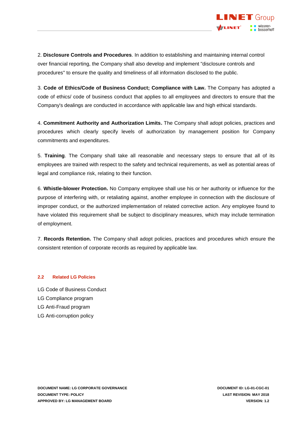

2. **Disclosure Controls and Procedures**. In addition to establishing and maintaining internal control over financial reporting, the Company shall also develop and implement "disclosure controls and procedures" to ensure the quality and timeliness of all information disclosed to the public.

3. **Code of Ethics/Code of Business Conduct; Compliance with Law.** The Company has adopted a code of ethics/ code of business conduct that applies to all employees and directors to ensure that the Company's dealings are conducted in accordance with applicable law and high ethical standards.

4. **Commitment Authority and Authorization Limits.** The Company shall adopt policies, practices and procedures which clearly specify levels of authorization by management position for Company commitments and expenditures.

5. **Training**. The Company shall take all reasonable and necessary steps to ensure that all of its employees are trained with respect to the safety and technical requirements, as well as potential areas of legal and compliance risk, relating to their function.

6. **Whistle-blower Protection.** No Company employee shall use his or her authority or influence for the purpose of interfering with, or retaliating against, another employee in connection with the disclosure of improper conduct, or the authorized implementation of related corrective action. Any employee found to have violated this requirement shall be subject to disciplinary measures, which may include termination of employment.

7. **Records Retention.** The Company shall adopt policies, practices and procedures which ensure the consistent retention of corporate records as required by applicable law.

#### <span id="page-3-0"></span>**2.2 Related LG Policies**

- LG Code of Business Conduct
- LG Compliance program
- LG Anti-Fraud program
- LG Anti-corruption policy